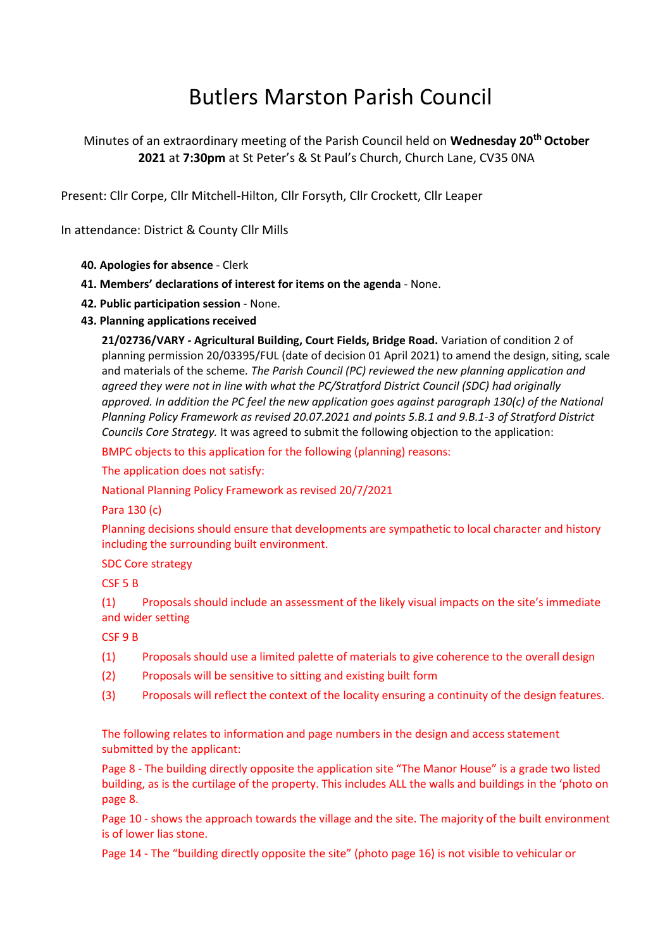## Butlers Marston Parish Council

## Minutes of an extraordinary meeting of the Parish Council held on **Wednesday 20th October 2021** at **7:30pm** at St Peter's & St Paul's Church, Church Lane, CV35 0NA

Present: Cllr Corpe, Cllr Mitchell-Hilton, Cllr Forsyth, Cllr Crockett, Cllr Leaper

In attendance: District & County Cllr Mills

- **40. Apologies for absence**  Clerk
- **41. Members' declarations of interest for items on the agenda** None.
- **42. Public participation session**  None.
- **43. Planning applications received**

**21/02736/VARY - Agricultural Building, Court Fields, Bridge Road.** Variation of condition 2 of planning permission 20/03395/FUL (date of decision 01 April 2021) to amend the design, siting, scale and materials of the scheme*. The Parish Council (PC) reviewed the new planning application and agreed they were not in line with what the PC/Stratford District Council (SDC) had originally approved. In addition the PC feel the new application goes against paragraph 130(c) of the National Planning Policy Framework as revised 20.07.2021 and points 5.B.1 and 9.B.1-3 of Stratford District Councils Core Strategy.* It was agreed to submit the following objection to the application:

BMPC objects to this application for the following (planning) reasons:

The application does not satisfy:

National Planning Policy Framework as revised 20/7/2021

Para 130 (c)

Planning decisions should ensure that developments are sympathetic to local character and history including the surrounding built environment.

## SDC Core strategy

CSF 5 B

(1) Proposals should include an assessment of the likely visual impacts on the site's immediate and wider setting

CSF 9 B

- (1) Proposals should use a limited palette of materials to give coherence to the overall design
- (2) Proposals will be sensitive to sitting and existing built form
- (3) Proposals will reflect the context of the locality ensuring a continuity of the design features.

The following relates to information and page numbers in the design and access statement submitted by the applicant:

Page 8 - The building directly opposite the application site "The Manor House" is a grade two listed building, as is the curtilage of the property. This includes ALL the walls and buildings in the 'photo on page 8.

Page 10 - shows the approach towards the village and the site. The majority of the built environment is of lower lias stone.

Page 14 - The "building directly opposite the site" (photo page 16) is not visible to vehicular or